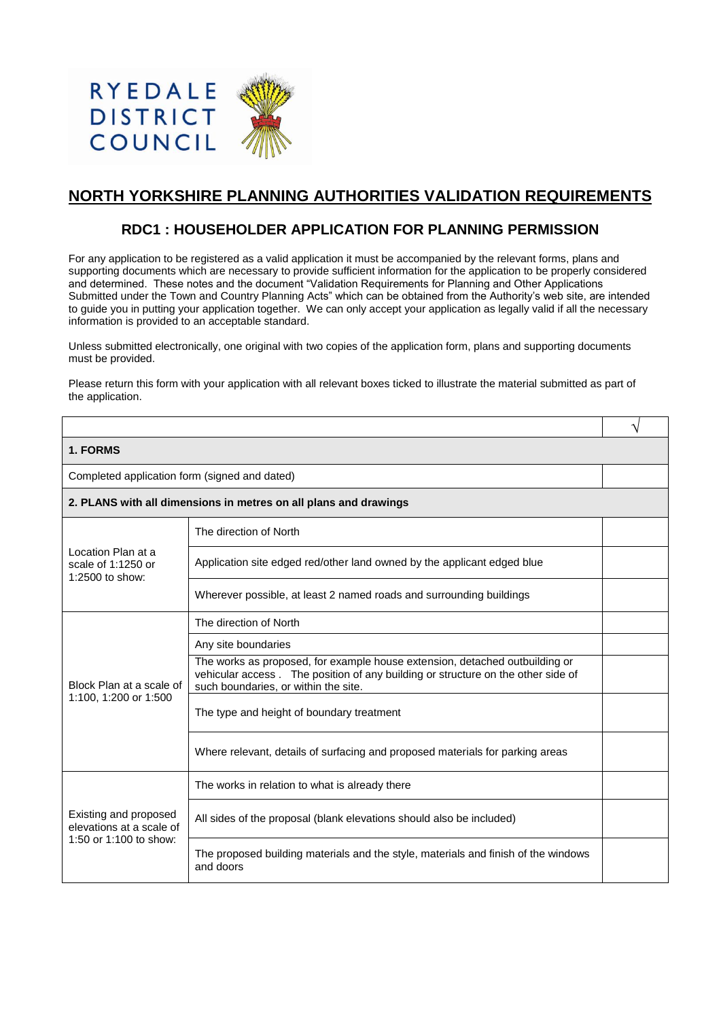

# **NORTH YORKSHIRE PLANNING AUTHORITIES VALIDATION REQUIREMENTS**

# **RDC1 : HOUSEHOLDER APPLICATION FOR PLANNING PERMISSION**

For any application to be registered as a valid application it must be accompanied by the relevant forms, plans and supporting documents which are necessary to provide sufficient information for the application to be properly considered and determined. These notes and the document "Validation Requirements for Planning and Other Applications Submitted under the Town and Country Planning Acts" which can be obtained from the Authority's web site, are intended to guide you in putting your application together. We can only accept your application as legally valid if all the necessary information is provided to an acceptable standard.

Unless submitted electronically, one original with two copies of the application form, plans and supporting documents must be provided.

Please return this form with your application with all relevant boxes ticked to illustrate the material submitted as part of the application.

|                                                                             |                                                                                                                                                                                                         | ٦ |
|-----------------------------------------------------------------------------|---------------------------------------------------------------------------------------------------------------------------------------------------------------------------------------------------------|---|
| 1. FORMS                                                                    |                                                                                                                                                                                                         |   |
| Completed application form (signed and dated)                               |                                                                                                                                                                                                         |   |
| 2. PLANS with all dimensions in metres on all plans and drawings            |                                                                                                                                                                                                         |   |
| Location Plan at a<br>scale of 1:1250 or<br>1:2500 to show:                 | The direction of North                                                                                                                                                                                  |   |
|                                                                             | Application site edged red/other land owned by the applicant edged blue                                                                                                                                 |   |
|                                                                             | Wherever possible, at least 2 named roads and surrounding buildings                                                                                                                                     |   |
|                                                                             | The direction of North                                                                                                                                                                                  |   |
| Block Plan at a scale of<br>1:100, 1:200 or 1:500                           | Any site boundaries                                                                                                                                                                                     |   |
|                                                                             | The works as proposed, for example house extension, detached outbuilding or<br>vehicular access. The position of any building or structure on the other side of<br>such boundaries, or within the site. |   |
|                                                                             | The type and height of boundary treatment                                                                                                                                                               |   |
|                                                                             | Where relevant, details of surfacing and proposed materials for parking areas                                                                                                                           |   |
| Existing and proposed<br>elevations at a scale of<br>1:50 or 1:100 to show: | The works in relation to what is already there                                                                                                                                                          |   |
|                                                                             | All sides of the proposal (blank elevations should also be included)                                                                                                                                    |   |
|                                                                             | The proposed building materials and the style, materials and finish of the windows<br>and doors                                                                                                         |   |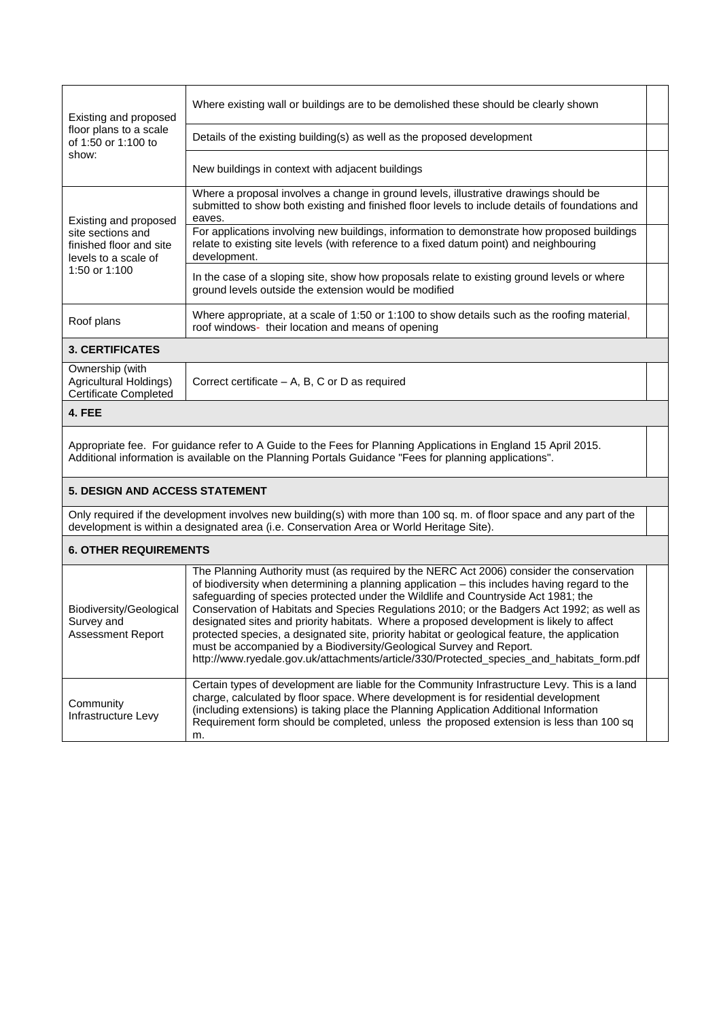| Existing and proposed<br>floor plans to a scale<br>of 1:50 or 1:100 to<br>show:                                  | Where existing wall or buildings are to be demolished these should be clearly shown                                                                                                                    |  |
|------------------------------------------------------------------------------------------------------------------|--------------------------------------------------------------------------------------------------------------------------------------------------------------------------------------------------------|--|
|                                                                                                                  | Details of the existing building(s) as well as the proposed development                                                                                                                                |  |
|                                                                                                                  | New buildings in context with adjacent buildings                                                                                                                                                       |  |
| Existing and proposed<br>site sections and<br>finished floor and site<br>levels to a scale of<br>1:50 or $1:100$ | Where a proposal involves a change in ground levels, illustrative drawings should be<br>submitted to show both existing and finished floor levels to include details of foundations and<br>eaves.      |  |
|                                                                                                                  | For applications involving new buildings, information to demonstrate how proposed buildings<br>relate to existing site levels (with reference to a fixed datum point) and neighbouring<br>development. |  |
|                                                                                                                  | In the case of a sloping site, show how proposals relate to existing ground levels or where<br>ground levels outside the extension would be modified                                                   |  |
| Roof plans                                                                                                       | Where appropriate, at a scale of 1:50 or 1:100 to show details such as the roofing material,<br>roof windows- their location and means of opening                                                      |  |
| 3. CERTIFICATES                                                                                                  |                                                                                                                                                                                                        |  |

Ownership (with Agricultural Holdings) Certificate Completed Correct certificate – A, B, C or D as required

### **4. FEE**

Appropriate fee. For guidance refer to A Guide to the Fees for Planning Applications in England 15 April 2015. Additional information is available on the Planning Portals Guidance "Fees for planning applications".

## **5. DESIGN AND ACCESS STATEMENT**

Only required if the development involves new building(s) with more than 100 sq. m. of floor space and any part of the development is within a designated area (i.e. Conservation Area or World Heritage Site).

## **6. OTHER REQUIREMENTS**

| Biodiversity/Geological<br>Survey and<br><b>Assessment Report</b> | The Planning Authority must (as required by the NERC Act 2006) consider the conservation<br>of biodiversity when determining a planning application – this includes having regard to the<br>safeguarding of species protected under the Wildlife and Countryside Act 1981; the<br>Conservation of Habitats and Species Regulations 2010; or the Badgers Act 1992; as well as<br>designated sites and priority habitats. Where a proposed development is likely to affect<br>protected species, a designated site, priority habitat or geological feature, the application<br>must be accompanied by a Biodiversity/Geological Survey and Report.<br>http://www.ryedale.gov.uk/attachments/article/330/Protected_species_and_habitats_form.pdf |  |
|-------------------------------------------------------------------|-----------------------------------------------------------------------------------------------------------------------------------------------------------------------------------------------------------------------------------------------------------------------------------------------------------------------------------------------------------------------------------------------------------------------------------------------------------------------------------------------------------------------------------------------------------------------------------------------------------------------------------------------------------------------------------------------------------------------------------------------|--|
| Community<br>Infrastructure Levy                                  | Certain types of development are liable for the Community Infrastructure Levy. This is a land<br>charge, calculated by floor space. Where development is for residential development<br>(including extensions) is taking place the Planning Application Additional Information<br>Requirement form should be completed, unless the proposed extension is less than 100 sq<br>m.                                                                                                                                                                                                                                                                                                                                                               |  |